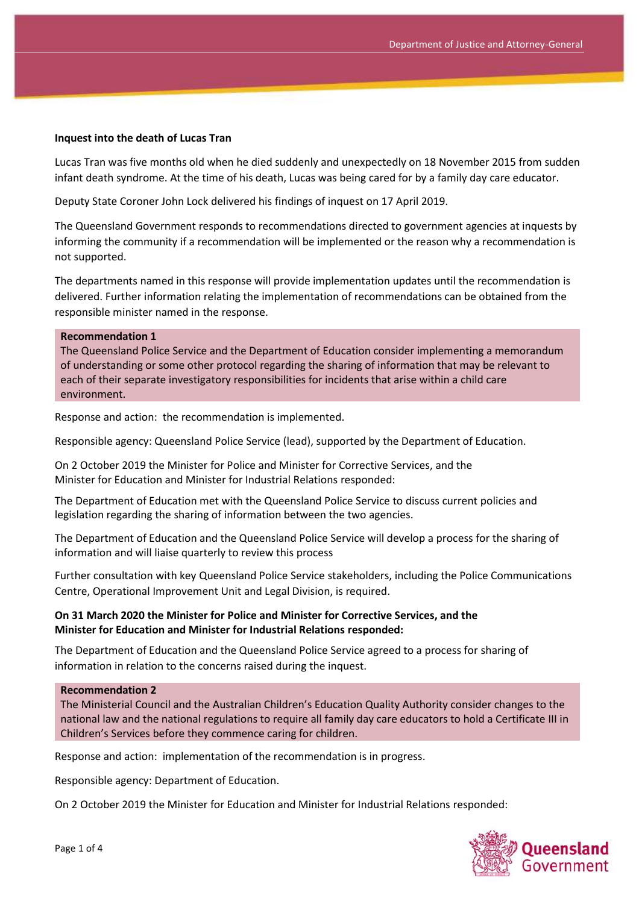#### **Inquest into the death of Lucas Tran**

Lucas Tran was five months old when he died suddenly and unexpectedly on 18 November 2015 from sudden infant death syndrome. At the time of his death, Lucas was being cared for by a family day care educator.

Deputy State Coroner John Lock delivered his findings of inquest on 17 April 2019.

The Queensland Government responds to recommendations directed to government agencies at inquests by informing the community if a recommendation will be implemented or the reason why a recommendation is not supported.

The departments named in this response will provide implementation updates until the recommendation is delivered. Further information relating the implementation of recommendations can be obtained from the responsible minister named in the response.

#### **Recommendation 1**

The Queensland Police Service and the Department of Education consider implementing a memorandum of understanding or some other protocol regarding the sharing of information that may be relevant to each of their separate investigatory responsibilities for incidents that arise within a child care environment.

Response and action: the recommendation is implemented.

Responsible agency: Queensland Police Service (lead), supported by the Department of Education.

On 2 October 2019 the Minister for Police and Minister for Corrective Services, and the Minister for Education and Minister for Industrial Relations responded:

The Department of Education met with the Queensland Police Service to discuss current policies and legislation regarding the sharing of information between the two agencies.

The Department of Education and the Queensland Police Service will develop a process for the sharing of information and will liaise quarterly to review this process

Further consultation with key Queensland Police Service stakeholders, including the Police Communications Centre, Operational Improvement Unit and Legal Division, is required.

### **On 31 March 2020 the Minister for Police and Minister for Corrective Services, and the Minister for Education and Minister for Industrial Relations responded:**

The Department of Education and the Queensland Police Service agreed to a process for sharing of information in relation to the concerns raised during the inquest.

#### **Recommendation 2**

The Ministerial Council and the Australian Children's Education Quality Authority consider changes to the national law and the national regulations to require all family day care educators to hold a Certificate III in Children's Services before they commence caring for children.

Response and action: implementation of the recommendation is in progress.

Responsible agency: Department of Education.

On 2 October 2019 the Minister for Education and Minister for Industrial Relations responded:

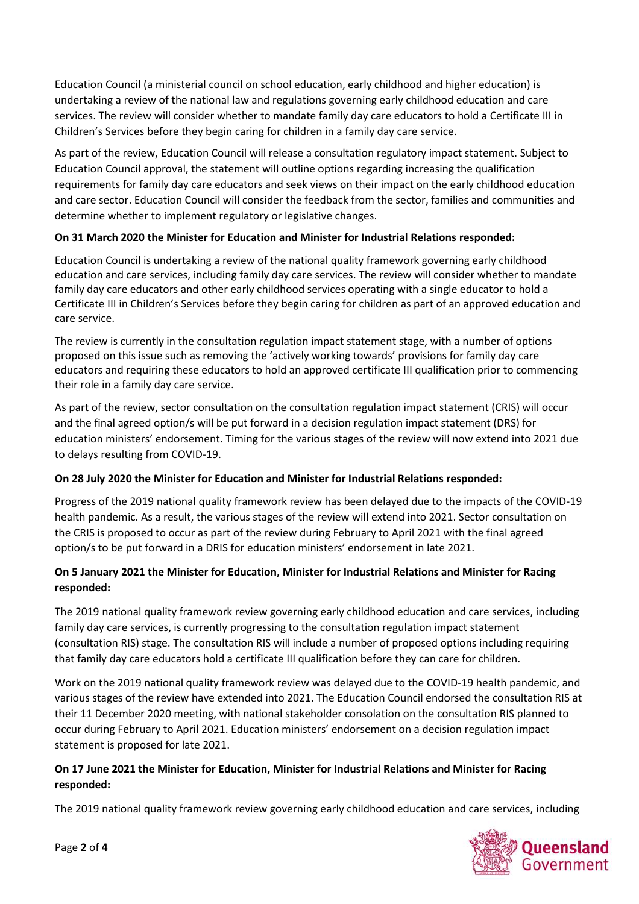Education Council (a ministerial council on school education, early childhood and higher education) is undertaking a review of the national law and regulations governing early childhood education and care services. The review will consider whether to mandate family day care educators to hold a Certificate III in Children's Services before they begin caring for children in a family day care service.

As part of the review, Education Council will release a consultation regulatory impact statement. Subject to Education Council approval, the statement will outline options regarding increasing the qualification requirements for family day care educators and seek views on their impact on the early childhood education and care sector. Education Council will consider the feedback from the sector, families and communities and determine whether to implement regulatory or legislative changes.

## **On 31 March 2020 the Minister for Education and Minister for Industrial Relations responded:**

Education Council is undertaking a review of the national quality framework governing early childhood education and care services, including family day care services. The review will consider whether to mandate family day care educators and other early childhood services operating with a single educator to hold a Certificate III in Children's Services before they begin caring for children as part of an approved education and care service.

The review is currently in the consultation regulation impact statement stage, with a number of options proposed on this issue such as removing the 'actively working towards' provisions for family day care educators and requiring these educators to hold an approved certificate III qualification prior to commencing their role in a family day care service.

As part of the review, sector consultation on the consultation regulation impact statement (CRIS) will occur and the final agreed option/s will be put forward in a decision regulation impact statement (DRS) for education ministers' endorsement. Timing for the various stages of the review will now extend into 2021 due to delays resulting from COVID-19.

# **On 28 July 2020 the Minister for Education and Minister for Industrial Relations responded:**

Progress of the 2019 national quality framework review has been delayed due to the impacts of the COVID-19 health pandemic. As a result, the various stages of the review will extend into 2021. Sector consultation on the CRIS is proposed to occur as part of the review during February to April 2021 with the final agreed option/s to be put forward in a DRIS for education ministers' endorsement in late 2021.

# **On 5 January 2021 the Minister for Education, Minister for Industrial Relations and Minister for Racing responded:**

The 2019 national quality framework review governing early childhood education and care services, including family day care services, is currently progressing to the consultation regulation impact statement (consultation RIS) stage. The consultation RIS will include a number of proposed options including requiring that family day care educators hold a certificate III qualification before they can care for children.

Work on the 2019 national quality framework review was delayed due to the COVID-19 health pandemic, and various stages of the review have extended into 2021. The Education Council endorsed the consultation RIS at their 11 December 2020 meeting, with national stakeholder consolation on the consultation RIS planned to occur during February to April 2021. Education ministers' endorsement on a decision regulation impact statement is proposed for late 2021.

## **On 17 June 2021 the Minister for Education, Minister for Industrial Relations and Minister for Racing responded:**

The 2019 national quality framework review governing early childhood education and care services, including

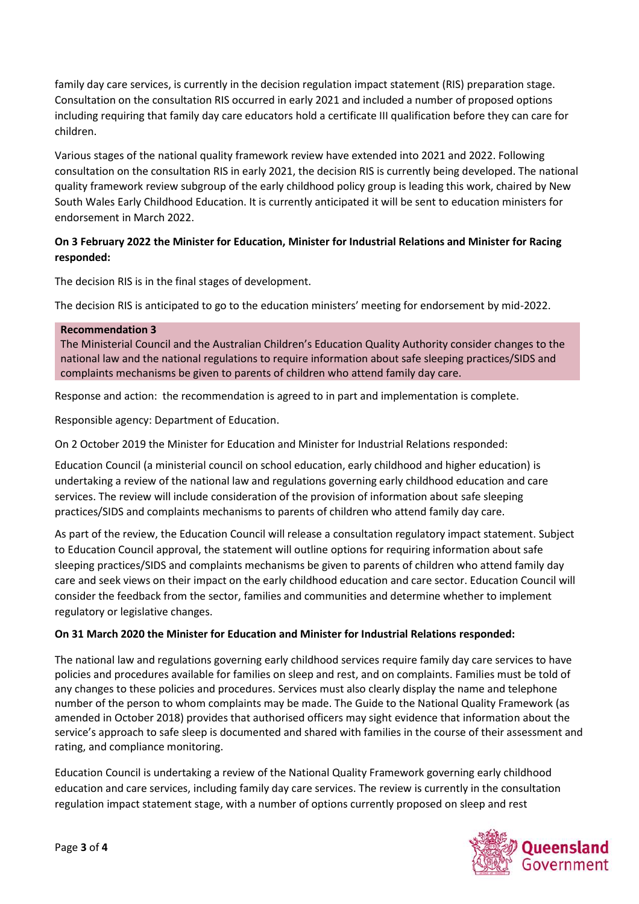family day care services, is currently in the decision regulation impact statement (RIS) preparation stage. Consultation on the consultation RIS occurred in early 2021 and included a number of proposed options including requiring that family day care educators hold a certificate III qualification before they can care for children.

Various stages of the national quality framework review have extended into 2021 and 2022. Following consultation on the consultation RIS in early 2021, the decision RIS is currently being developed. The national quality framework review subgroup of the early childhood policy group is leading this work, chaired by New South Wales Early Childhood Education. It is currently anticipated it will be sent to education ministers for endorsement in March 2022.

## **On 3 February 2022 the Minister for Education, Minister for Industrial Relations and Minister for Racing responded:**

The decision RIS is in the final stages of development.

The decision RIS is anticipated to go to the education ministers' meeting for endorsement by mid-2022.

### **Recommendation 3**

The Ministerial Council and the Australian Children's Education Quality Authority consider changes to the national law and the national regulations to require information about safe sleeping practices/SIDS and complaints mechanisms be given to parents of children who attend family day care.

Response and action: the recommendation is agreed to in part and implementation is complete.

Responsible agency: Department of Education.

On 2 October 2019 the Minister for Education and Minister for Industrial Relations responded:

Education Council (a ministerial council on school education, early childhood and higher education) is undertaking a review of the national law and regulations governing early childhood education and care services. The review will include consideration of the provision of information about safe sleeping practices/SIDS and complaints mechanisms to parents of children who attend family day care.

As part of the review, the Education Council will release a consultation regulatory impact statement. Subject to Education Council approval, the statement will outline options for requiring information about safe sleeping practices/SIDS and complaints mechanisms be given to parents of children who attend family day care and seek views on their impact on the early childhood education and care sector. Education Council will consider the feedback from the sector, families and communities and determine whether to implement regulatory or legislative changes.

### **On 31 March 2020 the Minister for Education and Minister for Industrial Relations responded:**

The national law and regulations governing early childhood services require family day care services to have policies and procedures available for families on sleep and rest, and on complaints. Families must be told of any changes to these policies and procedures. Services must also clearly display the name and telephone number of the person to whom complaints may be made. The Guide to the National Quality Framework (as amended in October 2018) provides that authorised officers may sight evidence that information about the service's approach to safe sleep is documented and shared with families in the course of their assessment and rating, and compliance monitoring.

Education Council is undertaking a review of the National Quality Framework governing early childhood education and care services, including family day care services. The review is currently in the consultation regulation impact statement stage, with a number of options currently proposed on sleep and rest